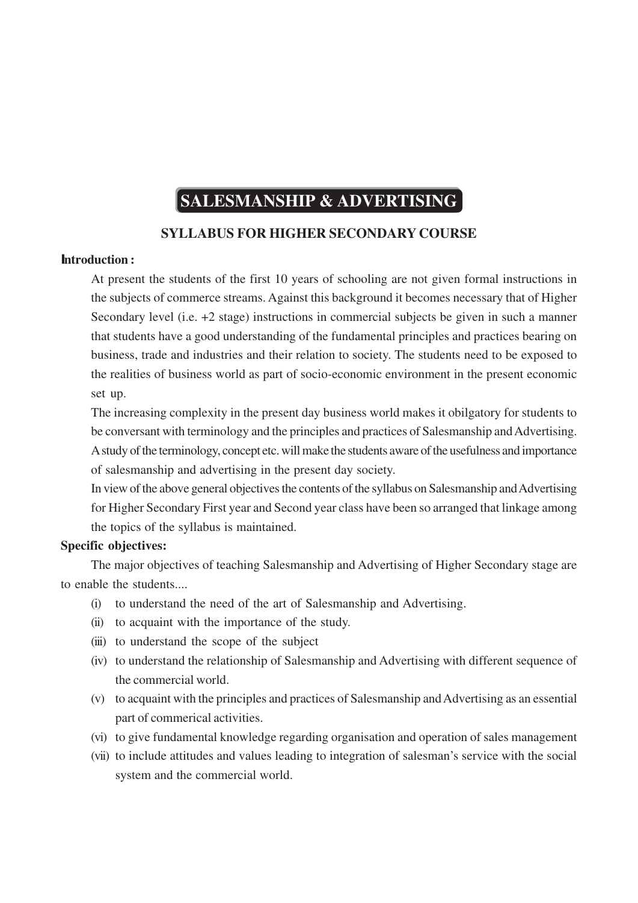# **SALESMANSHIP & ADVERTISING**

## **SYLLABUS FOR HIGHER SECONDARY COURSE**

#### **Introduction :**

At present the students of the first 10 years of schooling are not given formal instructions in the subjects of commerce streams. Against this background it becomes necessary that of Higher Secondary level (i.e. +2 stage) instructions in commercial subjects be given in such a manner that students have a good understanding of the fundamental principles and practices bearing on business, trade and industries and their relation to society. The students need to be exposed to the realities of business world as part of socio-economic environment in the present economic set up.

The increasing complexity in the present day business world makes it obilgatory for students to be conversant with terminology and the principles and practices of Salesmanship and Advertising. A study of the terminology, concept etc. will make the students aware of the usefulness and importance of salesmanship and advertising in the present day society.

In view of the above general objectives the contents of the syllabus on Salesmanship and Advertising for Higher Secondary First year and Second year class have been so arranged that linkage among the topics of the syllabus is maintained.

#### **Specific objectives:**

The major objectives of teaching Salesmanship and Advertising of Higher Secondary stage are to enable the students....

- (i) to understand the need of the art of Salesmanship and Advertising.
- (ii) to acquaint with the importance of the study.
- (iii) to understand the scope of the subject
- (iv) to understand the relationship of Salesmanship and Advertising with different sequence of the commercial world.
- (v) to acquaint with the principles and practices of Salesmanship and Advertising as an essential part of commerical activities.
- (vi) to give fundamental knowledge regarding organisation and operation of sales management
- (vii) to include attitudes and values leading to integration of salesman's service with the social system and the commercial world.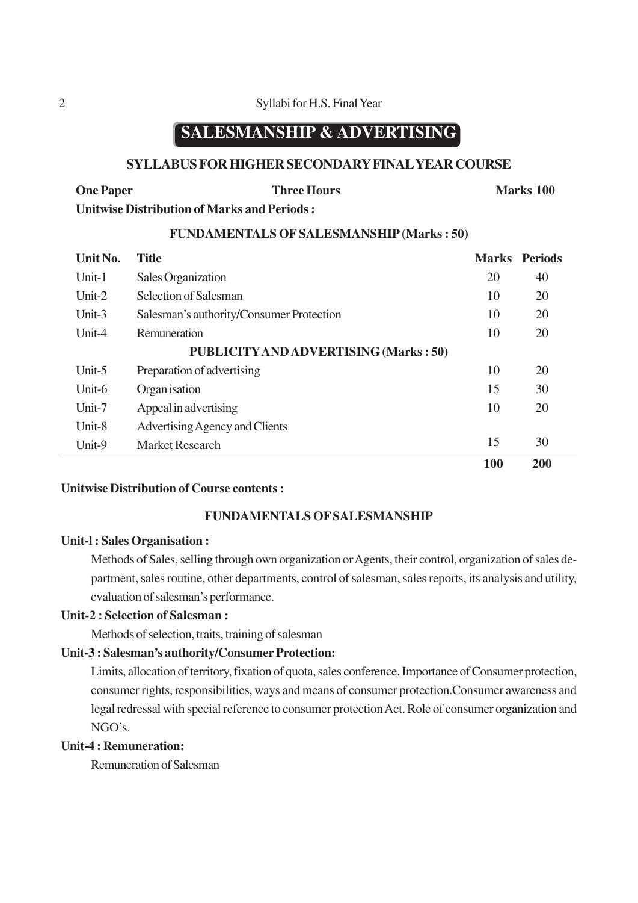## **SALESMANSHIP & ADVERTISING**

### **SYLLABUS FOR HIGHER SECONDARY FINAL YEAR COURSE**

| <b>One Paper</b>                            | <b>Three Hours</b> | <b>Marks</b> 100 |
|---------------------------------------------|--------------------|------------------|
| Unitwise Distribution of Marks and Periods: |                    |                  |

#### **FUNDAMENTALS OF SALESMANSHIP (Marks : 50)**

| Unit No.                                     | <b>Title</b>                             |     | <b>Marks</b> Periods |  |
|----------------------------------------------|------------------------------------------|-----|----------------------|--|
| Unit-1                                       | Sales Organization                       |     | 40                   |  |
| Unit- $2$                                    | Selection of Salesman                    |     | 20                   |  |
| Unit-3                                       | Salesman's authority/Consumer Protection |     | 20                   |  |
| Unit-4                                       | Remuneration                             |     | 20                   |  |
| <b>PUBLICITY AND ADVERTISING (Marks: 50)</b> |                                          |     |                      |  |
| Unit-5                                       | Preparation of advertising               | 10  | 20                   |  |
| Unit-6                                       | Organ isation                            |     | 30                   |  |
| Unit-7                                       | Appeal in advertising                    | 10  | 20                   |  |
| Unit-8                                       | Advertising Agency and Clients           |     |                      |  |
| Unit-9                                       | <b>Market Research</b>                   | 15  | 30                   |  |
|                                              |                                          | 100 | 200                  |  |

#### **Unitwise Distribution of Course contents :**

#### **FUNDAMENTALS OF SALESMANSHIP**

#### **Unit-l : Sales Organisation :**

Methods of Sales, selling through own organization or Agents, their control, organization of sales department, sales routine, other departments, control of salesman, sales reports, its analysis and utility, evaluation of salesman's performance.

#### **Unit-2 : Selection of Salesman :**

Methods of selection, traits, training of salesman

#### **Unit-3 : Salesman's authority/Consumer Protection:**

Limits, allocation of territory, fixation of quota, sales conference. Importance of Consumer protection, consumer rights, responsibilities, ways and means of consumer protection.Consumer awareness and legal redressal with special reference to consumer protection Act. Role of consumer organization and NGO's.

## **Unit-4 : Remuneration:**

Remuneration of Salesman